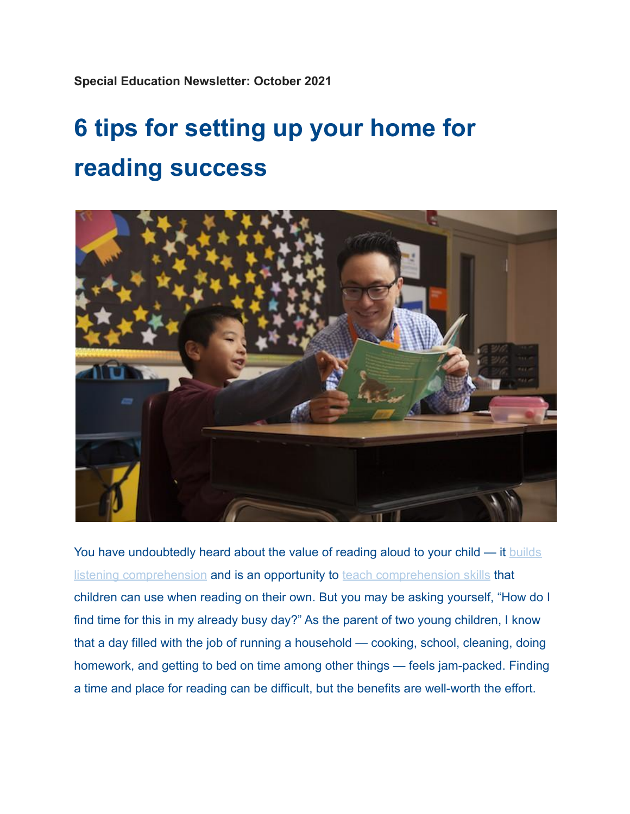**Special Education Newsletter: October 2021**

## **6 tips for setting up your home for reading success**



You have undoubtedly heard about the value of reading aloud to your child — it [builds](https://readingpartners.org/blog/hidden-benefits-reading-aloud-child-diy-instructions/) [listening comprehension](https://readingpartners.org/blog/hidden-benefits-reading-aloud-child-diy-instructions/) and is an opportunity to teach [comprehension skills](https://readingpartners.org/blog/teaching-kids-read-meaning/) that children can use when reading on their own. But you may be asking yourself, "How do I find time for this in my already busy day?" As the parent of two young children, I know that a day filled with the job of running a household — cooking, school, cleaning, doing homework, and getting to bed on time among other things — feels jam-packed. Finding a time and place for reading can be difficult, but the benefits are well-worth the effort.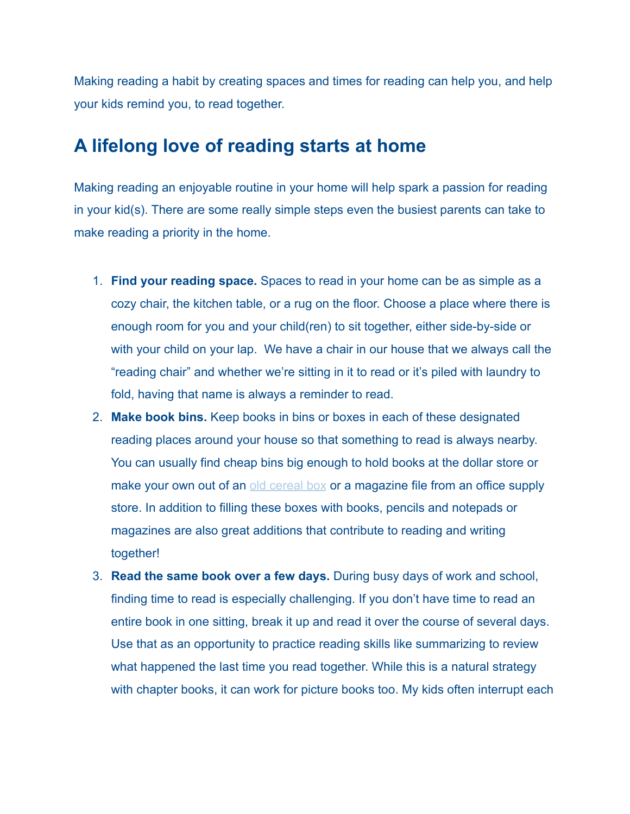Making reading a habit by creating spaces and times for reading can help you, and help your kids remind you, to read together.

## **A lifelong love of reading starts at home**

Making reading an enjoyable routine in your home will help spark a passion for reading in your kid(s). There are some really simple steps even the busiest parents can take to make reading a priority in the home.

- 1. **Find your reading space.** Spaces to read in your home can be as simple as a cozy chair, the kitchen table, or a rug on the floor. Choose a place where there is enough room for you and your child(ren) to sit together, either side-by-side or with your child on your lap. We have a chair in our house that we always call the "reading chair" and whether we're sitting in it to read or it's piled with laundry to fold, having that name is always a reminder to read.
- 2. **Make book bins.** Keep books in bins or boxes in each of these designated reading places around your house so that something to read is always nearby. You can usually find cheap bins big enough to hold books at the dollar store or make your own out of an [old cereal box](https://www.classroomdiy.com/2012/05/diy-magazine-holders.html) or a magazine file from an office supply store. In addition to filling these boxes with books, pencils and notepads or magazines are also great additions that contribute to reading and writing together!
- 3. **Read the same book over a few days.** During busy days of work and school, finding time to read is especially challenging. If you don't have time to read an entire book in one sitting, break it up and read it over the course of several days. Use that as an opportunity to practice reading skills like summarizing to review what happened the last time you read together. While this is a natural strategy with chapter books, it can work for picture books too. My kids often interrupt each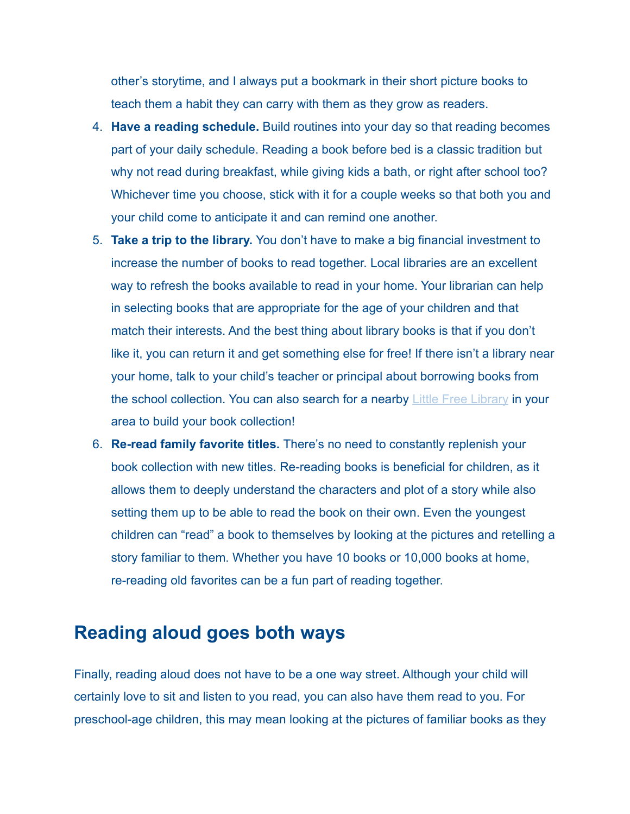other's storytime, and I always put a bookmark in their short picture books to teach them a habit they can carry with them as they grow as readers.

- 4. **Have a reading schedule.** Build routines into your day so that reading becomes part of your daily schedule. Reading a book before bed is a classic tradition but why not read during breakfast, while giving kids a bath, or right after school too? Whichever time you choose, stick with it for a couple weeks so that both you and your child come to anticipate it and can remind one another.
- 5. **Take a trip to the library.** You don't have to make a big financial investment to increase the number of books to read together. Local libraries are an excellent way to refresh the books available to read in your home. Your librarian can help in selecting books that are appropriate for the age of your children and that match their interests. And the best thing about library books is that if you don't like it, you can return it and get something else for free! If there isn't a library near your home, talk to your child's teacher or principal about borrowing books from the school collection. You can also search for a nearby [Little Free Library](https://littlefreelibrary.org/) in your area to build your book collection!
- 6. **Re-read family favorite titles.** There's no need to constantly replenish your book collection with new titles. Re-reading books is beneficial for children, as it allows them to deeply understand the characters and plot of a story while also setting them up to be able to read the book on their own. Even the youngest children can "read" a book to themselves by looking at the pictures and retelling a story familiar to them. Whether you have 10 books or 10,000 books at home, re-reading old favorites can be a fun part of reading together.

## **Reading aloud goes both ways**

Finally, reading aloud does not have to be a one way street. Although your child will certainly love to sit and listen to you read, you can also have them read to you. For preschool-age children, this may mean looking at the pictures of familiar books as they